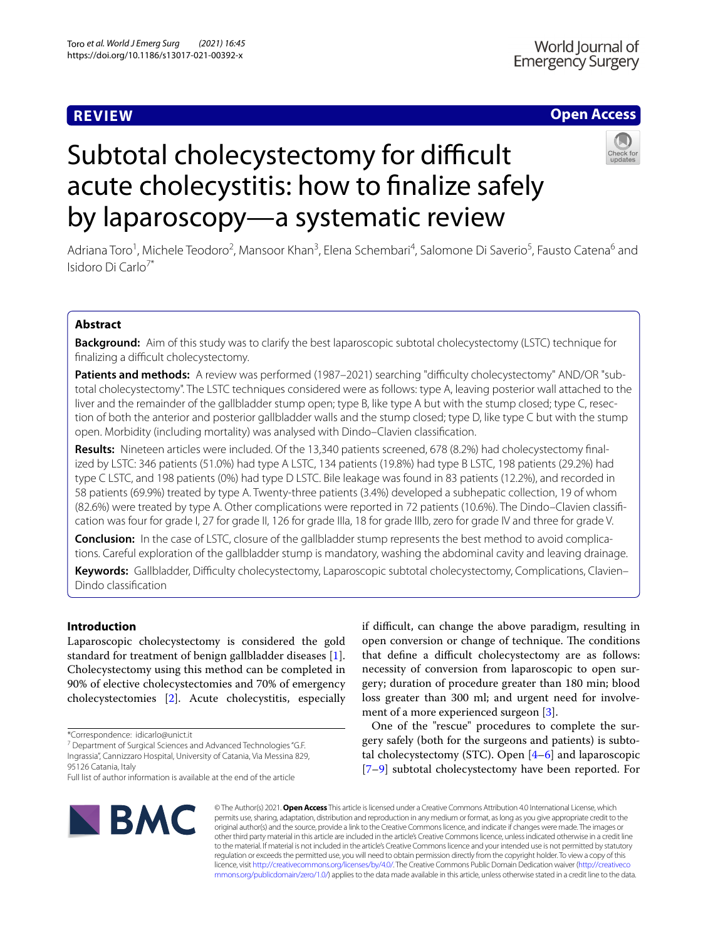# **REVIEW**

# **Open Access**

# Subtotal cholecystectomy for difficult acute cholecystitis: how to fnalize safely by laparoscopy—a systematic review



Adriana Toro<sup>1</sup>, Michele Teodoro<sup>2</sup>, Mansoor Khan<sup>3</sup>, Elena Schembari<sup>4</sup>, Salomone Di Saverio<sup>5</sup>, Fausto Catena<sup>6</sup> and Isidoro Di Carlo<sup>7\*</sup>

# **Abstract**

**Background:** Aim of this study was to clarify the best laparoscopic subtotal cholecystectomy (LSTC) technique for finalizing a difficult cholecystectomy.

Patients and methods: A review was performed (1987-2021) searching "difficulty cholecystectomy" AND/OR "subtotal cholecystectomy". The LSTC techniques considered were as follows: type A, leaving posterior wall attached to the liver and the remainder of the gallbladder stump open; type B, like type A but with the stump closed; type C, resection of both the anterior and posterior gallbladder walls and the stump closed; type D, like type C but with the stump open. Morbidity (including mortality) was analysed with Dindo–Clavien classifcation.

**Results:** Nineteen articles were included. Of the 13,340 patients screened, 678 (8.2%) had cholecystectomy fnalized by LSTC: 346 patients (51.0%) had type A LSTC, 134 patients (19.8%) had type B LSTC, 198 patients (29.2%) had type C LSTC, and 198 patients (0%) had type D LSTC. Bile leakage was found in 83 patients (12.2%), and recorded in 58 patients (69.9%) treated by type A. Twenty-three patients (3.4%) developed a subhepatic collection, 19 of whom (82.6%) were treated by type A. Other complications were reported in 72 patients (10.6%). The Dindo–Clavien classifcation was four for grade I, 27 for grade II, 126 for grade IIIa, 18 for grade IIIb, zero for grade IV and three for grade V.

**Conclusion:** In the case of LSTC, closure of the gallbladder stump represents the best method to avoid complications. Careful exploration of the gallbladder stump is mandatory, washing the abdominal cavity and leaving drainage.

**Keywords:** Gallbladder, Difculty cholecystectomy, Laparoscopic subtotal cholecystectomy, Complications, Clavien– Dindo classifcation

# **Introduction**

Laparoscopic cholecystectomy is considered the gold standard for treatment of benign gallbladder diseases [\[1](#page-7-0)]. Cholecystectomy using this method can be completed in 90% of elective cholecystectomies and 70% of emergency cholecystectomies [[2\]](#page-7-1). Acute cholecystitis, especially

<sup>7</sup> Department of Surgical Sciences and Advanced Technologies "G.F. Ingrassia", Cannizzaro Hospital, University of Catania, Via Messina 829, 95126 Catania, Italy

Full list of author information is available at the end of the article



if difcult, can change the above paradigm, resulting in open conversion or change of technique. The conditions that define a difficult cholecystectomy are as follows: necessity of conversion from laparoscopic to open surgery; duration of procedure greater than 180 min; blood loss greater than 300 ml; and urgent need for involve-ment of a more experienced surgeon [\[3](#page-7-2)].

One of the "rescue" procedures to complete the surgery safely (both for the surgeons and patients) is subtotal cholecystectomy (STC). Open [[4](#page-7-3)[–6](#page-8-0)] and laparoscopic [[7–](#page-8-1)[9\]](#page-8-2) subtotal cholecystectomy have been reported. For

© The Author(s) 2021. **Open Access** This article is licensed under a Creative Commons Attribution 4.0 International License, which permits use, sharing, adaptation, distribution and reproduction in any medium or format, as long as you give appropriate credit to the original author(s) and the source, provide a link to the Creative Commons licence, and indicate if changes were made. The images or other third party material in this article are included in the article's Creative Commons licence, unless indicated otherwise in a credit line to the material. If material is not included in the article's Creative Commons licence and your intended use is not permitted by statutory regulation or exceeds the permitted use, you will need to obtain permission directly from the copyright holder. To view a copy of this licence, visit [http://creativecommons.org/licenses/by/4.0/.](http://creativecommons.org/licenses/by/4.0/) The Creative Commons Public Domain Dedication waiver ([http://creativeco](http://creativecommons.org/publicdomain/zero/1.0/) [mmons.org/publicdomain/zero/1.0/](http://creativecommons.org/publicdomain/zero/1.0/)) applies to the data made available in this article, unless otherwise stated in a credit line to the data.

<sup>\*</sup>Correspondence: idicarlo@unict.it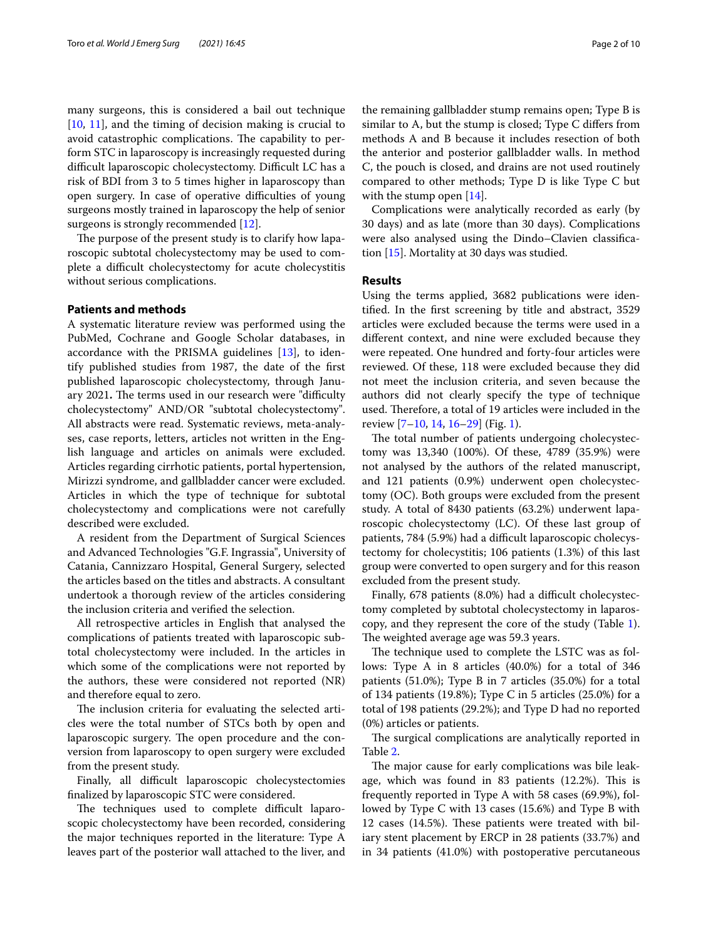many surgeons, this is considered a bail out technique [[10,](#page-8-3) [11](#page-8-4)], and the timing of decision making is crucial to avoid catastrophic complications. The capability to perform STC in laparoscopy is increasingly requested during difficult laparoscopic cholecystectomy. Difficult LC has a risk of BDI from 3 to 5 times higher in laparoscopy than open surgery. In case of operative difficulties of young surgeons mostly trained in laparoscopy the help of senior surgeons is strongly recommended [[12](#page-8-5)].

The purpose of the present study is to clarify how laparoscopic subtotal cholecystectomy may be used to complete a difficult cholecystectomy for acute cholecystitis without serious complications.

## **Patients and methods**

A systematic literature review was performed using the PubMed, Cochrane and Google Scholar databases, in accordance with the PRISMA guidelines [[13\]](#page-8-6), to identify published studies from 1987, the date of the frst published laparoscopic cholecystectomy, through January 2021. The terms used in our research were "difficulty cholecystectomy" AND/OR "subtotal cholecystectomy". All abstracts were read. Systematic reviews, meta-analyses, case reports, letters, articles not written in the English language and articles on animals were excluded. Articles regarding cirrhotic patients, portal hypertension, Mirizzi syndrome, and gallbladder cancer were excluded. Articles in which the type of technique for subtotal cholecystectomy and complications were not carefully described were excluded.

A resident from the Department of Surgical Sciences and Advanced Technologies "G.F. Ingrassia", University of Catania, Cannizzaro Hospital, General Surgery, selected the articles based on the titles and abstracts. A consultant undertook a thorough review of the articles considering the inclusion criteria and verifed the selection.

All retrospective articles in English that analysed the complications of patients treated with laparoscopic subtotal cholecystectomy were included. In the articles in which some of the complications were not reported by the authors, these were considered not reported (NR) and therefore equal to zero.

The inclusion criteria for evaluating the selected articles were the total number of STCs both by open and laparoscopic surgery. The open procedure and the conversion from laparoscopy to open surgery were excluded from the present study.

Finally, all difficult laparoscopic cholecystectomies fnalized by laparoscopic STC were considered.

The techniques used to complete difficult laparoscopic cholecystectomy have been recorded, considering the major techniques reported in the literature: Type A leaves part of the posterior wall attached to the liver, and the remaining gallbladder stump remains open; Type B is similar to A, but the stump is closed; Type C difers from methods A and B because it includes resection of both the anterior and posterior gallbladder walls. In method C, the pouch is closed, and drains are not used routinely compared to other methods; Type D is like Type C but with the stump open [[14](#page-8-7)].

Complications were analytically recorded as early (by 30 days) and as late (more than 30 days). Complications were also analysed using the Dindo–Clavien classifcation [[15\]](#page-8-8). Mortality at 30 days was studied.

### **Results**

Using the terms applied, 3682 publications were identifed. In the frst screening by title and abstract, 3529 articles were excluded because the terms were used in a diferent context, and nine were excluded because they were repeated. One hundred and forty-four articles were reviewed. Of these, 118 were excluded because they did not meet the inclusion criteria, and seven because the authors did not clearly specify the type of technique used. Therefore, a total of 19 articles were included in the review [\[7](#page-8-1)[–10](#page-8-3), [14](#page-8-7), [16–](#page-8-9)[29\]](#page-8-10) (Fig. [1](#page-2-0)).

The total number of patients undergoing cholecystectomy was 13,340 (100%). Of these, 4789 (35.9%) were not analysed by the authors of the related manuscript, and 121 patients (0.9%) underwent open cholecystectomy (OC). Both groups were excluded from the present study. A total of 8430 patients (63.2%) underwent laparoscopic cholecystectomy (LC). Of these last group of patients, 784 (5.9%) had a difficult laparoscopic cholecystectomy for cholecystitis; 106 patients (1.3%) of this last group were converted to open surgery and for this reason excluded from the present study.

Finally, 678 patients (8.0%) had a difficult cholecystectomy completed by subtotal cholecystectomy in laparoscopy, and they represent the core of the study (Table [1](#page-3-0)). The weighted average age was 59.3 years.

The technique used to complete the LSTC was as follows: Type A in 8 articles (40.0%) for a total of 346 patients (51.0%); Type B in 7 articles (35.0%) for a total of 134 patients (19.8%); Type C in 5 articles (25.0%) for a total of 198 patients (29.2%); and Type D had no reported (0%) articles or patients.

The surgical complications are analytically reported in Table [2](#page-4-0).

The major cause for early complications was bile leakage, which was found in 83 patients  $(12.2%)$ . This is frequently reported in Type A with 58 cases (69.9%), followed by Type C with 13 cases (15.6%) and Type B with 12 cases (14.5%). These patients were treated with biliary stent placement by ERCP in 28 patients (33.7%) and in 34 patients (41.0%) with postoperative percutaneous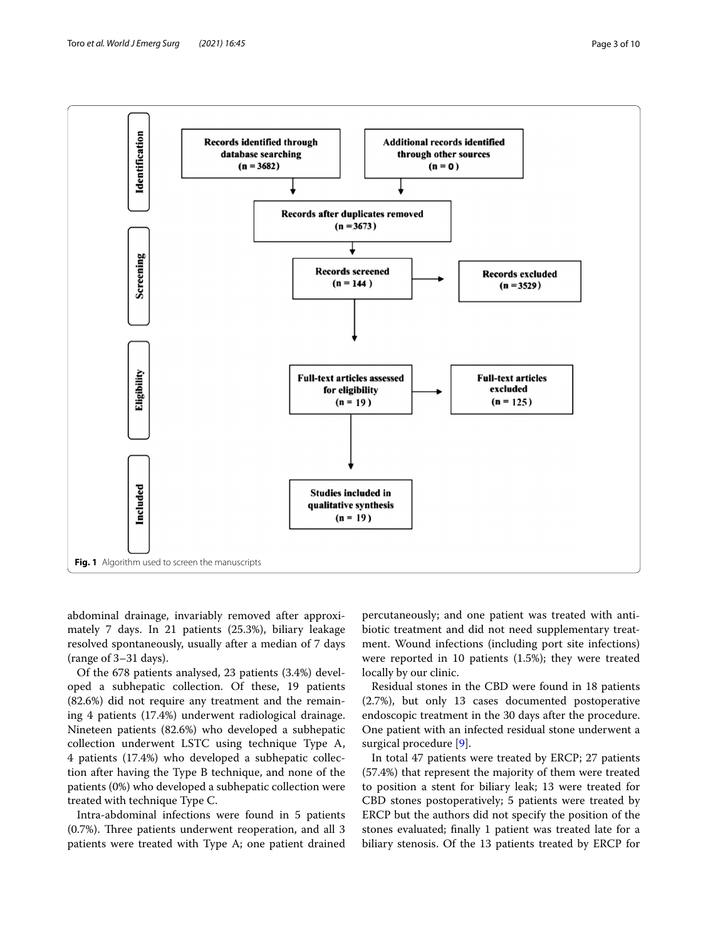

<span id="page-2-0"></span>abdominal drainage, invariably removed after approximately 7 days. In 21 patients (25.3%), biliary leakage resolved spontaneously, usually after a median of 7 days (range of 3–31 days).

Of the 678 patients analysed, 23 patients (3.4%) developed a subhepatic collection. Of these, 19 patients (82.6%) did not require any treatment and the remaining 4 patients (17.4%) underwent radiological drainage. Nineteen patients (82.6%) who developed a subhepatic collection underwent LSTC using technique Type A, 4 patients (17.4%) who developed a subhepatic collection after having the Type B technique, and none of the patients (0%) who developed a subhepatic collection were treated with technique Type C.

Intra-abdominal infections were found in 5 patients  $(0.7%)$ . Three patients underwent reoperation, and all 3 patients were treated with Type A; one patient drained

percutaneously; and one patient was treated with antibiotic treatment and did not need supplementary treatment. Wound infections (including port site infections) were reported in 10 patients (1.5%); they were treated locally by our clinic.

Residual stones in the CBD were found in 18 patients (2.7%), but only 13 cases documented postoperative endoscopic treatment in the 30 days after the procedure. One patient with an infected residual stone underwent a surgical procedure [\[9](#page-8-2)].

In total 47 patients were treated by ERCP; 27 patients (57.4%) that represent the majority of them were treated to position a stent for biliary leak; 13 were treated for CBD stones postoperatively; 5 patients were treated by ERCP but the authors did not specify the position of the stones evaluated; fnally 1 patient was treated late for a biliary stenosis. Of the 13 patients treated by ERCP for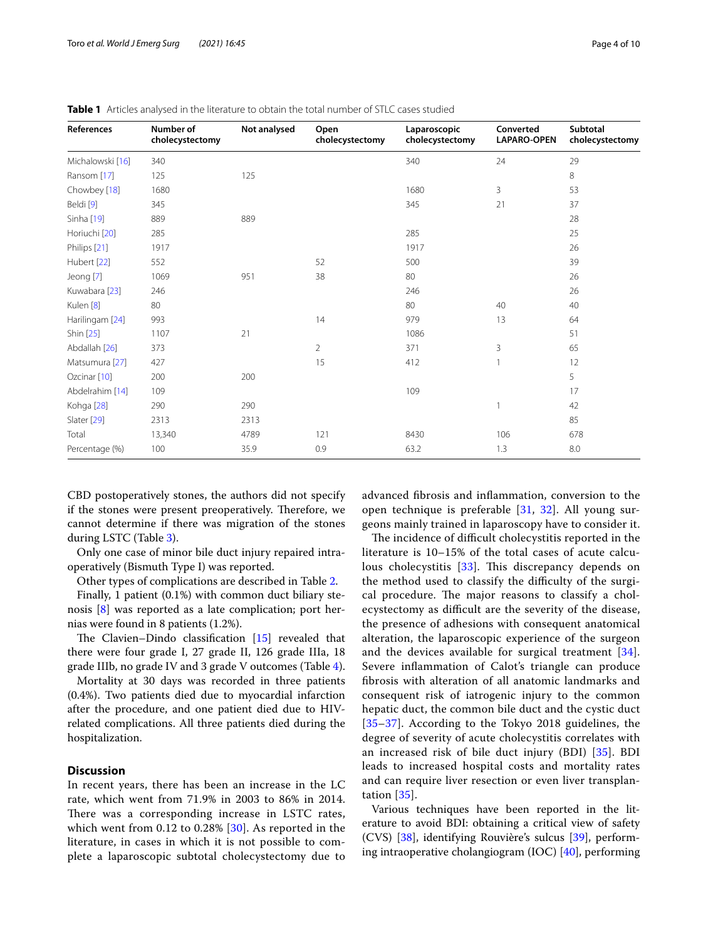| References              | Number of<br>cholecystectomy | Not analysed | Open<br>cholecystectomy | Laparoscopic<br>cholecystectomy | Converted<br><b>LAPARO-OPEN</b> | Subtotal<br>cholecystectomy |
|-------------------------|------------------------------|--------------|-------------------------|---------------------------------|---------------------------------|-----------------------------|
| Michalowski [16]        | 340                          |              |                         | 340                             | 24                              | 29                          |
| Ransom [17]             | 125                          | 125          |                         |                                 |                                 | 8                           |
| Chowbey [18]            | 1680                         |              |                         | 1680                            | 3                               | 53                          |
| Beldi [9]               | 345                          |              |                         | 345                             | 21                              | 37                          |
| Sinha [19]              | 889                          | 889          |                         |                                 |                                 | 28                          |
| Horiuchi [20]           | 285                          |              |                         | 285                             |                                 | 25                          |
| Philips [21]            | 1917                         |              |                         | 1917                            |                                 | 26                          |
| Hubert [22]             | 552                          |              | 52                      | 500                             |                                 | 39                          |
| Jeong [7]               | 1069                         | 951          | 38                      | 80                              |                                 | 26                          |
| Kuwabara [23]           | 246                          |              |                         | 246                             |                                 | 26                          |
| Kulen <sup>[8]</sup>    | 80                           |              |                         | 80                              | 40                              | 40                          |
| Harilingam [24]         | 993                          |              | 14                      | 979                             | 13                              | 64                          |
| Shin [25]               | 1107                         | 21           |                         | 1086                            |                                 | 51                          |
| Abdallah [26]           | 373                          |              | 2                       | 371                             | 3                               | 65                          |
| Matsumura [27]          | 427                          |              | 15                      | 412                             | $\mathbf{1}$                    | 12                          |
| Ozcinar <sup>[10]</sup> | 200                          | 200          |                         |                                 |                                 | 5                           |
| Abdelrahim [14]         | 109                          |              |                         | 109                             |                                 | 17                          |
| Kohga <sup>[28]</sup>   | 290                          | 290          |                         |                                 | $\mathbf{1}$                    | 42                          |
| Slater [29]             | 2313                         | 2313         |                         |                                 |                                 | 85                          |
| Total                   | 13,340                       | 4789         | 121                     | 8430                            | 106                             | 678                         |
| Percentage (%)          | 100                          | 35.9         | 0.9                     | 63.2                            | 1.3                             | 8.0                         |

<span id="page-3-0"></span>**Table 1** Articles analysed in the literature to obtain the total number of STLC cases studied

CBD postoperatively stones, the authors did not specify if the stones were present preoperatively. Therefore, we cannot determine if there was migration of the stones during LSTC (Table [3\)](#page-5-0).

Only one case of minor bile duct injury repaired intraoperatively (Bismuth Type I) was reported.

Other types of complications are described in Table [2](#page-4-0).

Finally, 1 patient (0.1%) with common duct biliary stenosis [\[8](#page-8-11)] was reported as a late complication; port hernias were found in 8 patients (1.2%).

The Clavien–Dindo classification  $[15]$  $[15]$  $[15]$  revealed that there were four grade I, 27 grade II, 126 grade IIIa, 18 grade IIIb, no grade IV and 3 grade V outcomes (Table [4](#page-5-1)).

Mortality at 30 days was recorded in three patients (0.4%). Two patients died due to myocardial infarction after the procedure, and one patient died due to HIVrelated complications. All three patients died during the hospitalization.

## **Discussion**

In recent years, there has been an increase in the LC rate, which went from 71.9% in 2003 to 86% in 2014. There was a corresponding increase in LSTC rates, which went from 0.12 to 0.28% [[30](#page-8-12)]. As reported in the literature, in cases in which it is not possible to complete a laparoscopic subtotal cholecystectomy due to advanced fbrosis and infammation, conversion to the open technique is preferable  $[31, 32]$  $[31, 32]$  $[31, 32]$  $[31, 32]$ . All young surgeons mainly trained in laparoscopy have to consider it.

The incidence of difficult cholecystitis reported in the literature is 10–15% of the total cases of acute calcu-lous cholecystitis [\[33](#page-8-15)]. This discrepancy depends on the method used to classify the difficulty of the surgical procedure. The major reasons to classify a cholecystectomy as difficult are the severity of the disease, the presence of adhesions with consequent anatomical alteration, the laparoscopic experience of the surgeon and the devices available for surgical treatment [[34\]](#page-8-16). Severe infammation of Calot's triangle can produce fbrosis with alteration of all anatomic landmarks and consequent risk of iatrogenic injury to the common hepatic duct, the common bile duct and the cystic duct [[35](#page-8-17)[–37](#page-8-18)]. According to the Tokyo 2018 guidelines, the degree of severity of acute cholecystitis correlates with an increased risk of bile duct injury (BDI) [[35\]](#page-8-17). BDI leads to increased hospital costs and mortality rates and can require liver resection or even liver transplantation [\[35\]](#page-8-17).

Various techniques have been reported in the literature to avoid BDI: obtaining a critical view of safety (CVS) [\[38\]](#page-8-19), identifying Rouvière's sulcus [\[39\]](#page-8-20), performing intraoperative cholangiogram (IOC) [\[40](#page-8-21)], performing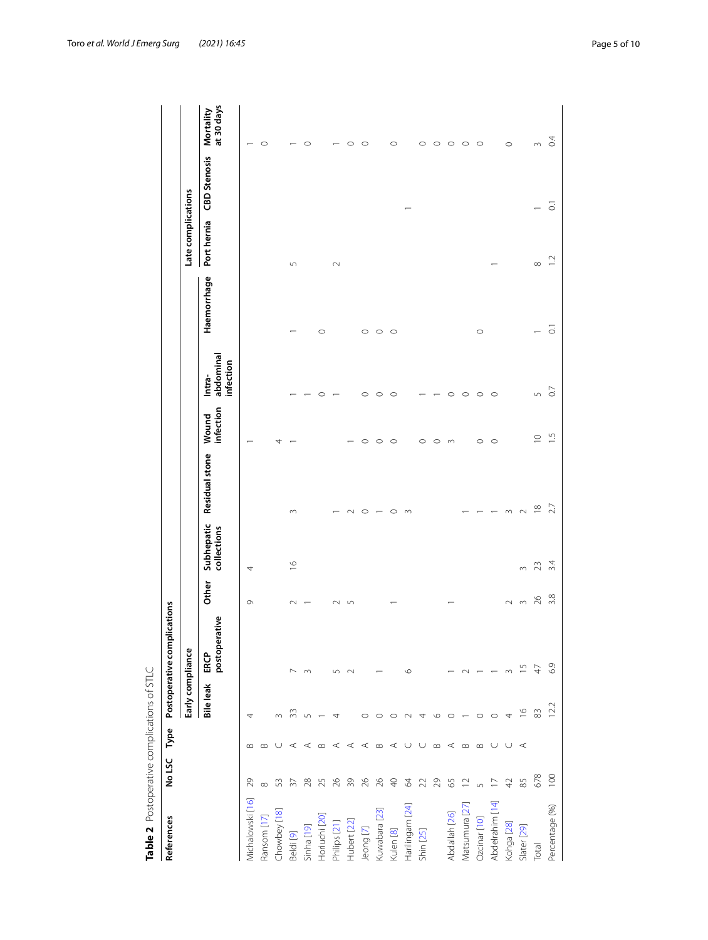<span id="page-4-0"></span>

| ١                    |
|----------------------|
|                      |
| ١                    |
| ١                    |
|                      |
| こうりょうりょう りょうりょく<br>١ |
|                      |
|                      |
|                      |
| ١                    |
|                      |
|                      |
|                      |
|                      |
| $+20225$             |
|                      |
|                      |
|                      |
|                      |
| ١                    |
|                      |
|                      |
| j                    |
|                      |
|                      |
|                      |
|                      |
|                      |
|                      |
|                      |

| Table 2 Postoperative complications of STLC |                          |          |                  |                             |            |                           |                       |                    |                                  |                    |                    |                     |                         |
|---------------------------------------------|--------------------------|----------|------------------|-----------------------------|------------|---------------------------|-----------------------|--------------------|----------------------------------|--------------------|--------------------|---------------------|-------------------------|
| References                                  | No LSC                   | Type     |                  | Postoperative complications |            |                           |                       |                    |                                  |                    |                    |                     |                         |
|                                             |                          |          | Early compliance |                             |            |                           |                       |                    |                                  |                    | Late complications |                     |                         |
|                                             |                          |          | Bile leak        | postoperative<br>ERCP       | Other      | Subhepatic<br>collections | <b>Residual stone</b> | infection<br>Wound | abdominal<br>infection<br>Intra- | Haemorrhage        | Port hernia        | <b>CBD</b> Stenosis | at 30 days<br>Mortality |
| Michalowski [16]                            | 29                       | $\bf{m}$ |                  |                             | 0          | 4                         |                       |                    |                                  |                    |                    |                     |                         |
| Ransom [17]                                 | $\infty$                 | $\infty$ |                  |                             |            |                           |                       |                    |                                  |                    |                    |                     | $\circ$                 |
| Chowbey [18]                                | 53                       |          | $\sim$           |                             |            |                           |                       | 4                  |                                  |                    |                    |                     |                         |
| Beldi [9]                                   | $\sqrt{3}$               | ⋖        | 33               | $\overline{\phantom{0}}$    | $\sim$     | $\frac{\infty}{2}$        | $\sim$                |                    |                                  |                    | $\sqrt{2}$         |                     |                         |
| Sinha [19]                                  | $28$                     | $\prec$  | $\cup$           | $\sim$                      |            |                           |                       |                    |                                  |                    |                    |                     | $\circ$                 |
| Horiuchi [20]                               | 25                       | $\infty$ |                  |                             |            |                           |                       |                    | $\circ$                          | $\circ$            |                    |                     |                         |
| Philips [21]                                | 26                       | $\prec$  | 4                | $\sqrt{ }$                  | $\sim$     |                           |                       |                    |                                  |                    | $\sim$             |                     |                         |
| Hubert [22]                                 | 39                       | $\prec$  |                  | $\sim$                      | $\sqrt{ }$ |                           | $\sim$                |                    |                                  |                    |                    |                     | $\circ$                 |
| Jeong [7]                                   | $\frac{26}{5}$           | $\prec$  | $\circ$          |                             |            |                           | $\circ$               | $\circ$            | $\circ$                          | $\circ$            |                    |                     | $\circ$                 |
| Kuwabara [23]                               | 26                       | $\infty$ | $\circ$          |                             |            |                           | $\overline{ }$        | $\circ$            | $\circ$                          | $\circ$            |                    |                     |                         |
| Kulen [8]                                   | $\ominus$                | $\prec$  |                  |                             |            |                           | $\circ$               | $\circ$            | $\circ$                          | $\circ$            |                    |                     | $\circ$                 |
| Harilingam [24]                             | $\mathcal{R}$            | ◡        |                  | $\circ$                     |            |                           | $\infty$              |                    |                                  |                    |                    |                     |                         |
| Shin [25]                                   | $22$                     | ◡        | 4                |                             |            |                           |                       | $\circ$            |                                  |                    |                    |                     | $\circ$                 |
|                                             | 29                       | $\infty$ | $\circ$          |                             |            |                           |                       | $\circ$            |                                  |                    |                    |                     | $\circ$                 |
| Abdallah [26]                               | $65$                     | $\prec$  | $\circ$          |                             |            |                           |                       | $\infty$           | $\circ$                          |                    |                    |                     | $\circ$                 |
| Matsumura [27]                              | $\overline{2}$           | $\infty$ |                  | $\sim$                      |            |                           |                       |                    | $\circ$                          |                    |                    |                     | $\circ$                 |
| Ozcinar [10]                                | $\sqrt{2}$               | $\infty$ | $\circ$          |                             |            |                           | $\overline{ }$        | $\circ$            | $\circ$                          | $\circ$            |                    |                     | $\circ$                 |
| Abdelrahim [14]                             | $\overline{\phantom{0}}$ | $\cup$   | $\circ$          |                             |            |                           | $\overline{ }$        | $\circ$            | $\circ$                          |                    |                    |                     |                         |
| Kohga <sub>[28]</sub>                       | 42                       | $\cup$   | 4                | $\sim$                      | $\sim$     |                           | $\sim$                |                    |                                  |                    |                    |                     | $\circ$                 |
| Slater [29]                                 | 85                       | $\prec$  | $\frac{8}{1}$    | $\frac{5}{1}$               | $\infty$   | $\infty$                  | $\sim$                |                    |                                  |                    |                    |                     |                         |
| Total                                       | 678                      |          | 83               | $\overline{4}$              | 26         | 23                        | $\approx$             | $\supseteq$        | 5                                |                    | $\infty$           | $\overline{ }$      | $m \quad Q$             |
| Percentage (%)                              | 100                      |          | 12.2             | 6.9                         | 3.8        | $\overline{3.4}$          | 2.7                   | $\frac{5}{1}$      | $\overline{0}$                   | $\overline{\circ}$ | $\overline{c}$     | $\overline{\circ}$  |                         |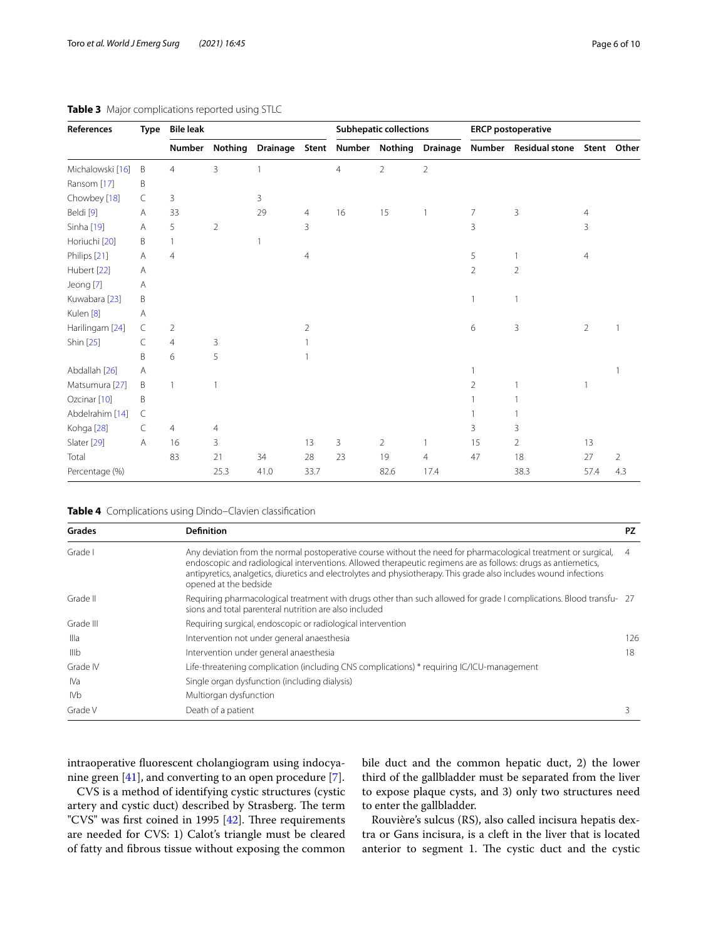| References              | Type | <b>Bile leak</b> |                |                 |      |                      | <b>Subhepatic collections</b> |                 |    | <b>ERCP</b> postoperative         |                |                |
|-------------------------|------|------------------|----------------|-----------------|------|----------------------|-------------------------------|-----------------|----|-----------------------------------|----------------|----------------|
|                         |      | Number           | <b>Nothing</b> | <b>Drainage</b> |      | Stent Number Nothing |                               | <b>Drainage</b> |    | Number Residual stone Stent Other |                |                |
| Michalowski [16]        | B    | 4                | 3              | 1               |      | $\overline{4}$       | $\overline{2}$                | 2               |    |                                   |                |                |
| Ransom [17]             | B    |                  |                |                 |      |                      |                               |                 |    |                                   |                |                |
| Chowbey [18]            | C    | 3                |                | 3               |      |                      |                               |                 |    |                                   |                |                |
| Beldi [9]               | Α    | 33               |                | 29              | 4    | 16                   | 15                            | $\overline{1}$  | 7  | 3                                 | $\overline{4}$ |                |
| Sinha [19]              | Α    | 5                | $\overline{2}$ |                 | 3    |                      |                               |                 | 3  |                                   | 3              |                |
| Horiuchi [20]           | B    |                  |                |                 |      |                      |                               |                 |    |                                   |                |                |
| Philips [21]            | Α    | $\overline{4}$   |                |                 | 4    |                      |                               |                 | 5  |                                   | $\overline{4}$ |                |
| Hubert [22]             | Α    |                  |                |                 |      |                      |                               |                 | 2  | $\overline{2}$                    |                |                |
| Jeong [7]               | Α    |                  |                |                 |      |                      |                               |                 |    |                                   |                |                |
| Kuwabara [23]           | B    |                  |                |                 |      |                      |                               |                 |    | 1                                 |                |                |
| Kulen <sup>[8]</sup>    | Α    |                  |                |                 |      |                      |                               |                 |    |                                   |                |                |
| Harilingam [24]         | C    | 2                |                |                 | 2    |                      |                               |                 | 6  | 3                                 | $\overline{2}$ |                |
| Shin [25]               | C    | $\overline{4}$   | 3              |                 |      |                      |                               |                 |    |                                   |                |                |
|                         | B    | 6                | 5              |                 |      |                      |                               |                 |    |                                   |                |                |
| Abdallah [26]           | A    |                  |                |                 |      |                      |                               |                 |    |                                   |                |                |
| Matsumura [27]          | B    | 1                | 1              |                 |      |                      |                               |                 | 2  |                                   |                |                |
| Ozcinar <sup>[10]</sup> | B    |                  |                |                 |      |                      |                               |                 |    |                                   |                |                |
| Abdelrahim [14]         | C    |                  |                |                 |      |                      |                               |                 |    |                                   |                |                |
| Kohga <sup>[28]</sup>   | C    | $\overline{4}$   | $\overline{4}$ |                 |      |                      |                               |                 | 3  | 3                                 |                |                |
| Slater [29]             | Α    | 16               | 3              |                 | 13   | 3                    | $\overline{2}$                | $\overline{1}$  | 15 | 2                                 | 13             |                |
| Total                   |      | 83               | 21             | 34              | 28   | 23                   | 19                            | $\overline{4}$  | 47 | 18                                | 27             | $\overline{2}$ |
| Percentage (%)          |      |                  | 25.3           | 41.0            | 33.7 |                      | 82.6                          | 17.4            |    | 38.3                              | 57.4           | 4.3            |

## <span id="page-5-0"></span>**Table 3** Major complications reported using STLC

<span id="page-5-1"></span>**Table 4** Complications using Dindo–Clavien classifcation

| Grades           | <b>Definition</b>                                                                                                                                                                                                                                                                                                                                                             | <b>PZ</b> |
|------------------|-------------------------------------------------------------------------------------------------------------------------------------------------------------------------------------------------------------------------------------------------------------------------------------------------------------------------------------------------------------------------------|-----------|
| Grade I          | Any deviation from the normal postoperative course without the need for pharmacological treatment or surgical,<br>endoscopic and radiological interventions. Allowed therapeutic regimens are as follows: drugs as antiemetics,<br>antipyretics, analgetics, diuretics and electrolytes and physiotherapy. This grade also includes wound infections<br>opened at the bedside | 4         |
| Grade II         | Requiring pharmacological treatment with drugs other than such allowed for grade I complications. Blood transfu- 27<br>sions and total parenteral nutrition are also included                                                                                                                                                                                                 |           |
| Grade III        | Requiring surgical, endoscopic or radiological intervention                                                                                                                                                                                                                                                                                                                   |           |
| Illa             | Intervention not under general anaesthesia                                                                                                                                                                                                                                                                                                                                    | 126       |
| III <sub>b</sub> | Intervention under general anaesthesia                                                                                                                                                                                                                                                                                                                                        | 18        |
| Grade IV         | Life-threatening complication (including CNS complications) * requiring IC/ICU-management                                                                                                                                                                                                                                                                                     |           |
| IVa              | Single organ dysfunction (including dialysis)                                                                                                                                                                                                                                                                                                                                 |           |
| IVb.             | Multiorgan dysfunction                                                                                                                                                                                                                                                                                                                                                        |           |
| Grade V          | Death of a patient                                                                                                                                                                                                                                                                                                                                                            | 3         |

intraoperative fuorescent cholangiogram using indocyanine green [\[41](#page-8-34)], and converting to an open procedure [[7\]](#page-8-1).

CVS is a method of identifying cystic structures (cystic artery and cystic duct) described by Strasberg. The term "CVS" was first coined in 1995  $[42]$  $[42]$  $[42]$ . Three requirements are needed for CVS: 1) Calot's triangle must be cleared of fatty and fbrous tissue without exposing the common bile duct and the common hepatic duct, 2) the lower third of the gallbladder must be separated from the liver to expose plaque cysts, and 3) only two structures need to enter the gallbladder.

Rouvière's sulcus (RS), also called incisura hepatis dextra or Gans incisura, is a cleft in the liver that is located anterior to segment 1. The cystic duct and the cystic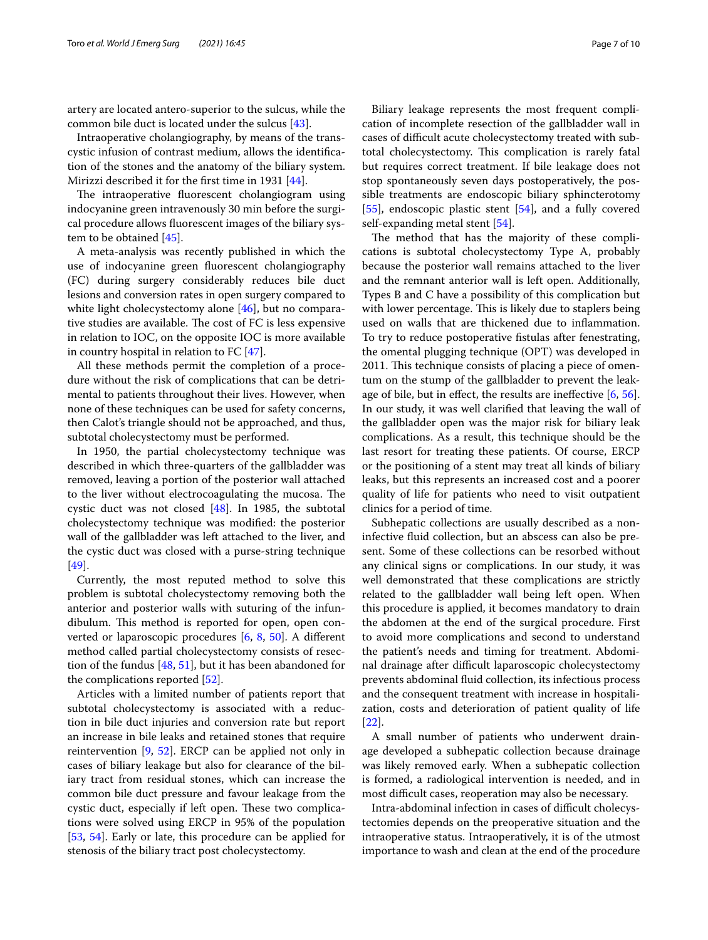artery are located antero-superior to the sulcus, while the common bile duct is located under the sulcus [[43\]](#page-8-36).

Intraoperative cholangiography, by means of the transcystic infusion of contrast medium, allows the identifcation of the stones and the anatomy of the biliary system. Mirizzi described it for the frst time in 1931 [[44](#page-8-37)].

The intraoperative fluorescent cholangiogram using indocyanine green intravenously 30 min before the surgical procedure allows fuorescent images of the biliary system to be obtained [\[45\]](#page-8-38).

A meta-analysis was recently published in which the use of indocyanine green fuorescent cholangiography (FC) during surgery considerably reduces bile duct lesions and conversion rates in open surgery compared to white light cholecystectomy alone [\[46\]](#page-8-39), but no comparative studies are available. The cost of FC is less expensive in relation to IOC, on the opposite IOC is more available in country hospital in relation to FC [[47](#page-8-40)].

All these methods permit the completion of a procedure without the risk of complications that can be detrimental to patients throughout their lives. However, when none of these techniques can be used for safety concerns, then Calot's triangle should not be approached, and thus, subtotal cholecystectomy must be performed.

In 1950, the partial cholecystectomy technique was described in which three-quarters of the gallbladder was removed, leaving a portion of the posterior wall attached to the liver without electrocoagulating the mucosa. The cystic duct was not closed [\[48\]](#page-8-41). In 1985, the subtotal cholecystectomy technique was modifed: the posterior wall of the gallbladder was left attached to the liver, and the cystic duct was closed with a purse-string technique [[49\]](#page-8-42).

Currently, the most reputed method to solve this problem is subtotal cholecystectomy removing both the anterior and posterior walls with suturing of the infundibulum. This method is reported for open, open converted or laparoscopic procedures [[6](#page-8-0), [8](#page-8-11), [50\]](#page-8-43). A diferent method called partial cholecystectomy consists of resection of the fundus [[48,](#page-8-41) [51](#page-8-44)], but it has been abandoned for the complications reported [[52\]](#page-8-45).

Articles with a limited number of patients report that subtotal cholecystectomy is associated with a reduction in bile duct injuries and conversion rate but report an increase in bile leaks and retained stones that require reintervention [\[9](#page-8-2), [52\]](#page-8-45). ERCP can be applied not only in cases of biliary leakage but also for clearance of the biliary tract from residual stones, which can increase the common bile duct pressure and favour leakage from the cystic duct, especially if left open. These two complications were solved using ERCP in 95% of the population [[53,](#page-8-46) [54](#page-9-0)]. Early or late, this procedure can be applied for stenosis of the biliary tract post cholecystectomy.

Biliary leakage represents the most frequent complication of incomplete resection of the gallbladder wall in cases of difficult acute cholecystectomy treated with subtotal cholecystectomy. This complication is rarely fatal but requires correct treatment. If bile leakage does not stop spontaneously seven days postoperatively, the possible treatments are endoscopic biliary sphincterotomy [[55\]](#page-9-1), endoscopic plastic stent [\[54](#page-9-0)], and a fully covered self-expanding metal stent [[54\]](#page-9-0).

The method that has the majority of these complications is subtotal cholecystectomy Type A, probably because the posterior wall remains attached to the liver and the remnant anterior wall is left open. Additionally, Types B and C have a possibility of this complication but with lower percentage. This is likely due to staplers being used on walls that are thickened due to infammation. To try to reduce postoperative fstulas after fenestrating, the omental plugging technique (OPT) was developed in 2011. This technique consists of placing a piece of omentum on the stump of the gallbladder to prevent the leakage of bile, but in effect, the results are ineffective  $[6, 56]$  $[6, 56]$  $[6, 56]$  $[6, 56]$ . In our study, it was well clarifed that leaving the wall of the gallbladder open was the major risk for biliary leak complications. As a result, this technique should be the last resort for treating these patients. Of course, ERCP or the positioning of a stent may treat all kinds of biliary leaks, but this represents an increased cost and a poorer quality of life for patients who need to visit outpatient clinics for a period of time.

Subhepatic collections are usually described as a noninfective fuid collection, but an abscess can also be present. Some of these collections can be resorbed without any clinical signs or complications. In our study, it was well demonstrated that these complications are strictly related to the gallbladder wall being left open. When this procedure is applied, it becomes mandatory to drain the abdomen at the end of the surgical procedure. First to avoid more complications and second to understand the patient's needs and timing for treatment. Abdominal drainage after difficult laparoscopic cholecystectomy prevents abdominal fuid collection, its infectious process and the consequent treatment with increase in hospitalization, costs and deterioration of patient quality of life [[22\]](#page-8-27).

A small number of patients who underwent drainage developed a subhepatic collection because drainage was likely removed early. When a subhepatic collection is formed, a radiological intervention is needed, and in most difficult cases, reoperation may also be necessary.

Intra-abdominal infection in cases of difficult cholecystectomies depends on the preoperative situation and the intraoperative status. Intraoperatively, it is of the utmost importance to wash and clean at the end of the procedure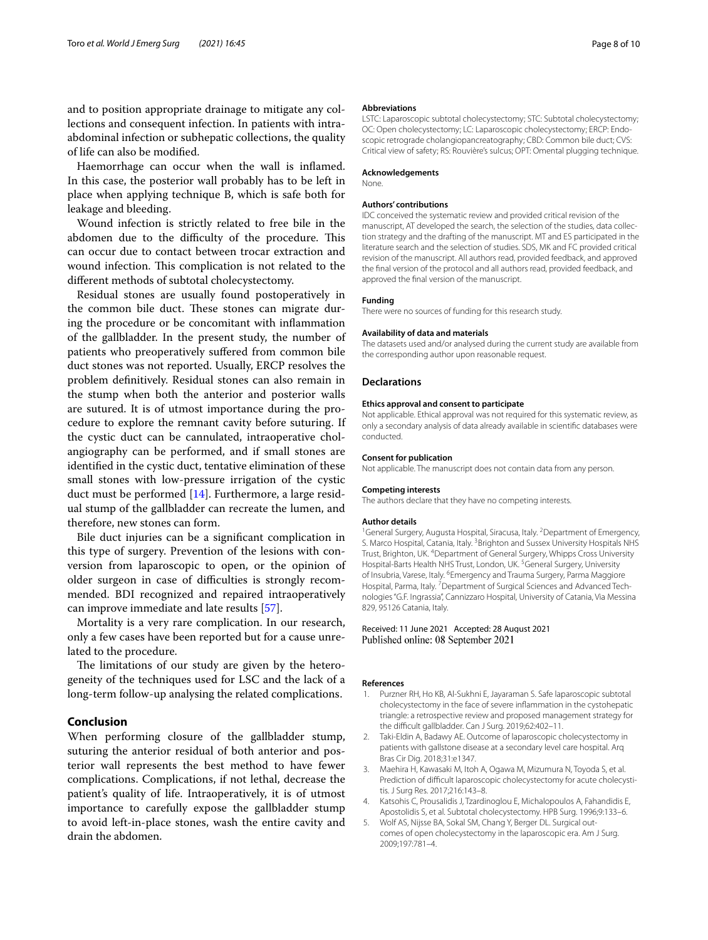and to position appropriate drainage to mitigate any collections and consequent infection. In patients with intraabdominal infection or subhepatic collections, the quality of life can also be modifed.

Haemorrhage can occur when the wall is infamed. In this case, the posterior wall probably has to be left in place when applying technique B, which is safe both for leakage and bleeding.

Wound infection is strictly related to free bile in the abdomen due to the difficulty of the procedure. This can occur due to contact between trocar extraction and wound infection. This complication is not related to the diferent methods of subtotal cholecystectomy.

Residual stones are usually found postoperatively in the common bile duct. These stones can migrate during the procedure or be concomitant with infammation of the gallbladder. In the present study, the number of patients who preoperatively sufered from common bile duct stones was not reported. Usually, ERCP resolves the problem defnitively. Residual stones can also remain in the stump when both the anterior and posterior walls are sutured. It is of utmost importance during the procedure to explore the remnant cavity before suturing. If the cystic duct can be cannulated, intraoperative cholangiography can be performed, and if small stones are identifed in the cystic duct, tentative elimination of these small stones with low-pressure irrigation of the cystic duct must be performed [\[14](#page-8-7)]. Furthermore, a large residual stump of the gallbladder can recreate the lumen, and therefore, new stones can form.

Bile duct injuries can be a signifcant complication in this type of surgery. Prevention of the lesions with conversion from laparoscopic to open, or the opinion of older surgeon in case of difficulties is strongly recommended. BDI recognized and repaired intraoperatively can improve immediate and late results [[57](#page-9-3)].

Mortality is a very rare complication. In our research, only a few cases have been reported but for a cause unrelated to the procedure.

The limitations of our study are given by the heterogeneity of the techniques used for LSC and the lack of a long-term follow-up analysing the related complications.

## **Conclusion**

When performing closure of the gallbladder stump, suturing the anterior residual of both anterior and posterior wall represents the best method to have fewer complications. Complications, if not lethal, decrease the patient's quality of life. Intraoperatively, it is of utmost importance to carefully expose the gallbladder stump to avoid left-in-place stones, wash the entire cavity and drain the abdomen.

#### **Abbreviations**

LSTC: Laparoscopic subtotal cholecystectomy; STC: Subtotal cholecystectomy; OC: Open cholecystectomy; LC: Laparoscopic cholecystectomy; ERCP: Endoscopic retrograde cholangiopancreatography; CBD: Common bile duct; CVS: Critical view of safety; RS: Rouvière's sulcus; OPT: Omental plugging technique.

#### **Acknowledgements**

None.

#### **Authors' contributions**

IDC conceived the systematic review and provided critical revision of the manuscript, AT developed the search, the selection of the studies, data collection strategy and the drafting of the manuscript. MT and ES participated in the literature search and the selection of studies. SDS, MK and FC provided critical revision of the manuscript. All authors read, provided feedback, and approved the fnal version of the protocol and all authors read, provided feedback, and approved the fnal version of the manuscript.

### **Funding**

There were no sources of funding for this research study.

#### **Availability of data and materials**

The datasets used and/or analysed during the current study are available from the corresponding author upon reasonable request.

#### **Declarations**

#### **Ethics approval and consent to participate**

Not applicable. Ethical approval was not required for this systematic review, as only a secondary analysis of data already available in scientifc databases were conducted.

#### **Consent for publication**

Not applicable. The manuscript does not contain data from any person.

#### **Competing interests**

The authors declare that they have no competing interests.

#### **Author details**

<sup>1</sup> General Surgery, Augusta Hospital, Siracusa, Italy. <sup>2</sup> Department of Emergency, S. Marco Hospital, Catania, Italy. <sup>3</sup> Brighton and Sussex University Hospitals NHS Trust, Brighton, UK. <sup>4</sup> Department of General Surgery, Whipps Cross University Hospital-Barts Health NHS Trust, London, UK.<sup>5</sup> General Surgery, University of Insubria, Varese, Italy. <sup>6</sup> Emergency and Trauma Surgery, Parma Maggiore Hospital, Parma, Italy.<sup>7</sup> Department of Surgical Sciences and Advanced Technologies "G.F. Ingrassia", Cannizzaro Hospital, University of Catania, Via Messina 829, 95126 Catania, Italy.

### Received: 11 June 2021 Accepted: 28 August 2021 Published online: 08 September 2021

#### **References**

- <span id="page-7-0"></span>Purzner RH, Ho KB, Al-Sukhni E, Jayaraman S. Safe laparoscopic subtotal cholecystectomy in the face of severe infammation in the cystohepatic triangle: a retrospective review and proposed management strategy for the difficult gallbladder. Can J Surg. 2019;62:402-11.
- <span id="page-7-1"></span>2. Taki-Eldin A, Badawy AE. Outcome of laparoscopic cholecystectomy in patients with gallstone disease at a secondary level care hospital. Arq Bras Cir Dig. 2018;31:e1347.
- <span id="page-7-2"></span>3. Maehira H, Kawasaki M, Itoh A, Ogawa M, Mizumura N, Toyoda S, et al. Prediction of difficult laparoscopic cholecystectomy for acute cholecystitis. J Surg Res. 2017;216:143–8.
- <span id="page-7-3"></span>4. Katsohis C, Prousalidis J, Tzardinoglou E, Michalopoulos A, Fahandidis E, Apostolidis S, et al. Subtotal cholecystectomy. HPB Surg. 1996;9:133–6.
- 5. Wolf AS, Nijsse BA, Sokal SM, Chang Y, Berger DL. Surgical outcomes of open cholecystectomy in the laparoscopic era. Am J Surg. 2009;197:781–4.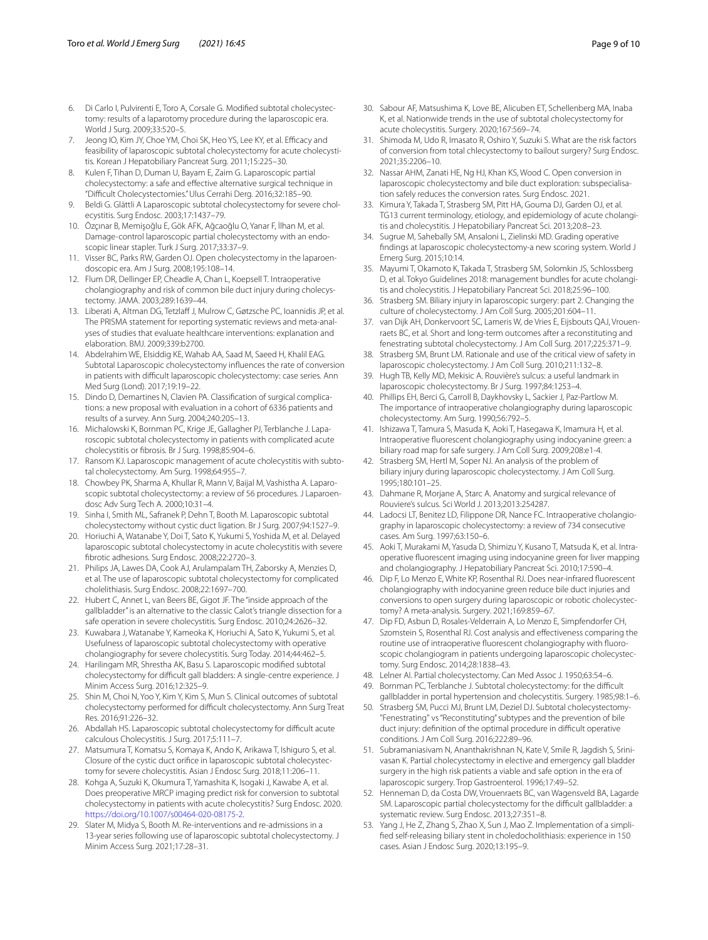- <span id="page-8-0"></span>6. Di Carlo I, Pulvirenti E, Toro A, Corsale G. Modifed subtotal cholecystectomy: results of a laparotomy procedure during the laparoscopic era. World J Surg. 2009;33:520–5.
- <span id="page-8-1"></span>7. Jeong IO, Kim JY, Choe YM, Choi SK, Heo YS, Lee KY, et al. Efficacy and feasibility of laparoscopic subtotal cholecystectomy for acute cholecystitis. Korean J Hepatobiliary Pancreat Surg. 2011;15:225–30.
- <span id="page-8-11"></span>8. Kulen F, Tihan D, Duman U, Bayam E, Zaim G. Laparoscopic partial cholecystectomy: a safe and efective alternative surgical technique in "Difcult Cholecystectomies." Ulus Cerrahi Derg. 2016;32:185–90.
- <span id="page-8-2"></span>9. Beldi G. Glättli A Laparoscopic subtotal cholecystectomy for severe cholecystitis. Surg Endosc. 2003;17:1437–79.
- <span id="page-8-3"></span>10. Özçınar B, Memişoğlu E, Gök AFK, Ağcaoğlu O, Yanar F, İlhan M, et al. Damage-control laparoscopic partial cholecystectomy with an endoscopic linear stapler. Turk J Surg. 2017;33:37–9.
- <span id="page-8-4"></span>11. Visser BC, Parks RW, Garden OJ. Open cholecystectomy in the laparoendoscopic era. Am J Surg. 2008;195:108–14.
- <span id="page-8-5"></span>12. Flum DR, Dellinger EP, Cheadle A, Chan L, Koepsell T. Intraoperative cholangiography and risk of common bile duct injury during cholecystectomy. JAMA. 2003;289:1639–44.
- <span id="page-8-6"></span>13. Liberati A, Altman DG, Tetzlaff J, Mulrow C, Gøtzsche PC, Ioannidis JP, et al. The PRISMA statement for reporting systematic reviews and meta-analyses of studies that evaluate healthcare interventions: explanation and elaboration. BMJ. 2009;339:b2700.
- <span id="page-8-7"></span>14. Abdelrahim WE, Elsiddig KE, Wahab AA, Saad M, Saeed H, Khalil EAG. Subtotal Laparoscopic cholecystectomy infuences the rate of conversion in patients with difficult laparoscopic cholecystectomy: case series. Ann Med Surg (Lond). 2017;19:19–22.
- <span id="page-8-8"></span>15. Dindo D, Demartines N, Clavien PA. Classifcation of surgical complications: a new proposal with evaluation in a cohort of 6336 patients and results of a survey. Ann Surg. 2004;240:205–13.
- <span id="page-8-9"></span>16. Michalowski K, Bornman PC, Krige JE, Gallagher PJ, Terblanche J. Laparoscopic subtotal cholecystectomy in patients with complicated acute cholecystitis or fbrosis. Br J Surg. 1998;85:904–6.
- <span id="page-8-22"></span>17. Ransom KJ. Laparoscopic management of acute cholecystitis with subtotal cholecystectomy. Am Surg. 1998;64:955–7.
- <span id="page-8-23"></span>18. Chowbey PK, Sharma A, Khullar R, Mann V, Baijal M, Vashistha A. Laparoscopic subtotal cholecystectomy: a review of 56 procedures. J Laparoendosc Adv Surg Tech A. 2000;10:31–4.
- <span id="page-8-24"></span>19. Sinha I, Smith ML, Safranek P, Dehn T, Booth M. Laparoscopic subtotal cholecystectomy without cystic duct ligation. Br J Surg. 2007;94:1527–9.
- <span id="page-8-25"></span>20. Horiuchi A, Watanabe Y, Doi T, Sato K, Yukumi S, Yoshida M, et al. Delayed laparoscopic subtotal cholecystectomy in acute cholecystitis with severe fbrotic adhesions. Surg Endosc. 2008;22:2720–3.
- <span id="page-8-26"></span>21. Philips JA, Lawes DA, Cook AJ, Arulampalam TH, Zaborsky A, Menzies D, et al. The use of laparoscopic subtotal cholecystectomy for complicated cholelithiasis. Surg Endosc. 2008;22:1697–700.
- <span id="page-8-27"></span>22. Hubert C, Annet L, van Beers BE, Gigot JF. The "inside approach of the gallbladder" is an alternative to the classic Calot's triangle dissection for a safe operation in severe cholecystitis. Surg Endosc. 2010;24:2626–32.
- <span id="page-8-28"></span>23. Kuwabara J, Watanabe Y, Kameoka K, Horiuchi A, Sato K, Yukumi S, et al. Usefulness of laparoscopic subtotal cholecystectomy with operative cholangiography for severe cholecystitis. Surg Today. 2014;44:462–5.
- <span id="page-8-29"></span>24. Harilingam MR, Shrestha AK, Basu S. Laparoscopic modifed subtotal cholecystectomy for difficult gall bladders: A single-centre experience. J Minim Access Surg. 2016;12:325–9.
- <span id="page-8-30"></span>25. Shin M, Choi N, Yoo Y, Kim Y, Kim S, Mun S. Clinical outcomes of subtotal cholecystectomy performed for difficult cholecystectomy. Ann Surg Treat Res. 2016;91:226–32.
- <span id="page-8-31"></span>26. Abdallah HS. Laparoscopic subtotal cholecystectomy for difficult acute calculous Cholecystitis. J Surg. 2017;5:111–7.
- <span id="page-8-32"></span>27. Matsumura T, Komatsu S, Komaya K, Ando K, Arikawa T, Ishiguro S, et al. Closure of the cystic duct orifce in laparoscopic subtotal cholecystectomy for severe cholecystitis. Asian J Endosc Surg. 2018;11:206–11.
- <span id="page-8-33"></span>28. Kohga A, Suzuki K, Okumura T, Yamashita K, Isogaki J, Kawabe A, et al. Does preoperative MRCP imaging predict risk for conversion to subtotal cholecystectomy in patients with acute cholecystitis? Surg Endosc. 2020. <https://doi.org/10.1007/s00464-020-08175-2>.
- <span id="page-8-10"></span>29. Slater M, Midya S, Booth M. Re-interventions and re-admissions in a 13-year series following use of laparoscopic subtotal cholecystectomy. J Minim Access Surg. 2021;17:28–31.
- <span id="page-8-12"></span>30. Sabour AF, Matsushima K, Love BE, Alicuben ET, Schellenberg MA, Inaba K, et al. Nationwide trends in the use of subtotal cholecystectomy for acute cholecystitis. Surgery. 2020;167:569–74.
- <span id="page-8-13"></span>31. Shimoda M, Udo R, Imasato R, Oshiro Y, Suzuki S. What are the risk factors of conversion from total chlecystectomy to bailout surgery? Surg Endosc. 2021;35:2206–10.
- <span id="page-8-14"></span>32. Nassar AHM, Zanati HE, Ng HJ, Khan KS, Wood C. Open conversion in laparoscopic cholecystectomy and bile duct exploration: subspecialisation safely reduces the conversion rates. Surg Endosc. 2021.
- <span id="page-8-15"></span>33. Kimura Y, Takada T, Strasberg SM, Pitt HA, Gouma DJ, Garden OJ, et al. TG13 current terminology, etiology, and epidemiology of acute cholangitis and cholecystitis. J Hepatobiliary Pancreat Sci. 2013;20:8–23.
- <span id="page-8-16"></span>34. Sugrue M, Sahebally SM, Ansaloni L, Zielinski MD. Grading operative fndings at laparoscopic cholecystectomy-a new scoring system. World J Emerg Surg. 2015;10:14.
- <span id="page-8-17"></span>35. Mayumi T, Okamoto K, Takada T, Strasberg SM, Solomkin JS, Schlossberg D, et al. Tokyo Guidelines 2018: management bundles for acute cholangitis and cholecystitis. J Hepatobiliary Pancreat Sci. 2018;25:96–100.
- 36. Strasberg SM. Biliary injury in laparoscopic surgery: part 2. Changing the culture of cholecystectomy. J Am Coll Surg. 2005;201:604–11.
- <span id="page-8-18"></span>37. van Dijk AH, Donkervoort SC, Lameris W, de Vries E, Eijsbouts QAJ, Vrouenraets BC, et al. Short and long-term outcomes after a reconstituting and fenestrating subtotal cholecystectomy. J Am Coll Surg. 2017;225:371–9.
- <span id="page-8-19"></span>38. Strasberg SM, Brunt LM. Rationale and use of the critical view of safety in laparoscopic cholecystectomy. J Am Coll Surg. 2010;211:132–8.
- <span id="page-8-20"></span>39. Hugh TB, Kelly MD, Mekisic A. Rouvière's sulcus: a useful landmark in laparoscopic cholecystectomy. Br J Surg. 1997;84:1253–4.
- <span id="page-8-21"></span>40. Phillips EH, Berci G, Carroll B, Daykhovsky L, Sackier J, Paz-Partlow M. The importance of intraoperative cholangiography during laparoscopic cholecystectomy. Am Surg. 1990;56:792–5.
- <span id="page-8-34"></span>41. Ishizawa T, Tamura S, Masuda K, Aoki T, Hasegawa K, Imamura H, et al. Intraoperative fuorescent cholangiography using indocyanine green: a biliary road map for safe surgery. J Am Coll Surg. 2009;208:e1-4.
- <span id="page-8-35"></span>42. Strasberg SM, Hertl M, Soper NJ. An analysis of the problem of biliary injury during laparoscopic cholecystectomy. J Am Coll Surg. 1995;180:101–25.
- <span id="page-8-36"></span>43. Dahmane R, Morjane A, Starc A. Anatomy and surgical relevance of Rouviere's sulcus. Sci World J. 2013;2013:254287.
- <span id="page-8-37"></span>44. Ladocsi LT, Benitez LD, Filippone DR, Nance FC. Intraoperative cholangiography in laparoscopic cholecystectomy: a review of 734 consecutive cases. Am Surg. 1997;63:150–6.
- <span id="page-8-38"></span>45. Aoki T, Murakami M, Yasuda D, Shimizu Y, Kusano T, Matsuda K, et al. Intraoperative fuorescent imaging using indocyanine green for liver mapping and cholangiography. J Hepatobiliary Pancreat Sci. 2010;17:590–4.
- <span id="page-8-39"></span>46. Dip F, Lo Menzo E, White KP, Rosenthal RJ. Does near-infrared fuorescent cholangiography with indocyanine green reduce bile duct injuries and conversions to open surgery during laparoscopic or robotic cholecystectomy? A meta-analysis. Surgery. 2021;169:859–67.
- <span id="page-8-40"></span>47. Dip FD, Asbun D, Rosales-Velderrain A, Lo Menzo E, Simpfendorfer CH, Szomstein S, Rosenthal RJ. Cost analysis and efectiveness comparing the routine use of intraoperative fuorescent cholangiography with fuoroscopic cholangiogram in patients undergoing laparoscopic cholecystectomy. Surg Endosc. 2014;28:1838–43.
- <span id="page-8-41"></span>48. Lelner AI. Partial cholecystectomy. Can Med Assoc J. 1950;63:54–6.
- <span id="page-8-42"></span>49. Bornman PC, Terblanche J. Subtotal cholecystectomy: for the difficult gallbladder in portal hypertension and cholecystitis. Surgery. 1985;98:1–6.
- <span id="page-8-43"></span>50. Strasberg SM, Pucci MJ, Brunt LM, Deziel DJ. Subtotal cholecystectomy- "Fenestrating" vs "Reconstituting" subtypes and the prevention of bile duct injury: definition of the optimal procedure in difficult operative conditions. J Am Coll Surg. 2016;222:89–96.
- <span id="page-8-44"></span>51. Subramaniasivam N, Ananthakrishnan N, Kate V, Smile R, Jagdish S, Srinivasan K. Partial cholecystectomy in elective and emergency gall bladder surgery in the high risk patients a viable and safe option in the era of laparoscopic surgery. Trop Gastroenterol. 1996;17:49–52.
- <span id="page-8-45"></span>52. Henneman D, da Costa DW, Vrouenraets BC, van Wagensveld BA, Lagarde SM. Laparoscopic partial cholecystectomy for the difficult gallbladder: a systematic review. Surg Endosc. 2013;27:351–8.
- <span id="page-8-46"></span>53. Yang J, He Z, Zhang S, Zhao X, Sun J, Mao Z. Implementation of a simplifed self-releasing biliary stent in choledocholithiasis: experience in 150 cases. Asian J Endosc Surg. 2020;13:195–9.